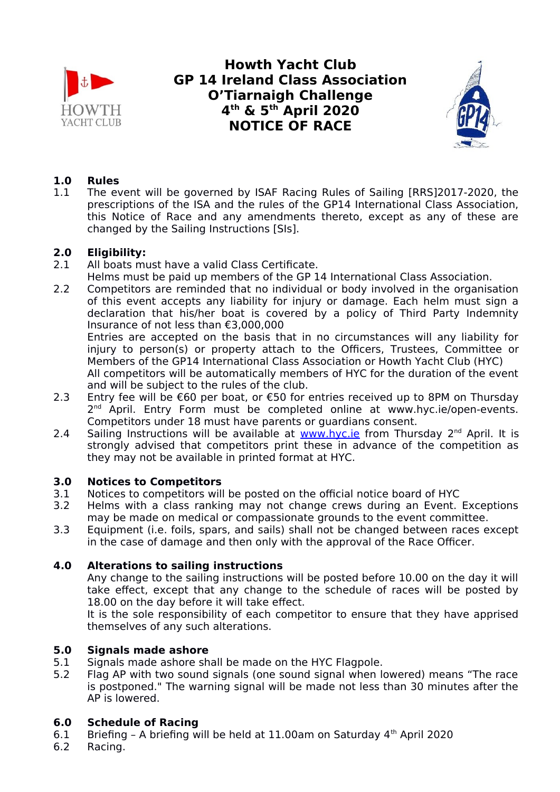

**Howth Yacht Club GP 14 Ireland Class Association O'Tiarnaigh Challenge 4 th & 5th April 2020 NOTICE OF RACE**



# **1.0 Rules**<br>11 The ev

1.1 The event will be governed by ISAF Racing Rules of Sailing [RRS]2017-2020, the prescriptions of the ISA and the rules of the GP14 International Class Association, this Notice of Race and any amendments thereto, except as any of these are changed by the Sailing Instructions [SIs].

# **2.0 Eligibility:**

- 2.1 All boats must have a valid Class Certificate.
- Helms must be paid up members of the GP 14 International Class Association.
- 2.2 Competitors are reminded that no individual or body involved in the organisation of this event accepts any liability for injury or damage. Each helm must sign a declaration that his/her boat is covered by a policy of Third Party Indemnity Insurance of not less than €3,000,000

Entries are accepted on the basis that in no circumstances will any liability for injury to person(s) or property attach to the Officers, Trustees, Committee or Members of the GP14 International Class Association or Howth Yacht Club (HYC)

All competitors will be automatically members of HYC for the duration of the event and will be subject to the rules of the club.

- 2.3 Entry fee will be €60 per boat, or €50 for entries received up to 8PM on Thursday 2<sup>nd</sup> April. Entry Form must be completed online at www.hyc.ie/open-events. Competitors under 18 must have parents or guardians consent.
- 2.4 Sailing Instructions will be available at **www.hyc.ie** from Thursday 2<sup>nd</sup> April. It is strongly advised that competitors print these in advance of the competition as they may not be available in printed format at HYC.

# **3.0 Notices to Competitors**

- 3.1 Notices to competitors will be posted on the official notice board of HYC
- 3.2 Helms with a class ranking may not change crews during an Event. Exceptions may be made on medical or compassionate grounds to the event committee.
- 3.3 Equipment (i.e. foils, spars, and sails) shall not be changed between races except in the case of damage and then only with the approval of the Race Officer.

# **4.0 Alterations to sailing instructions**

Any change to the sailing instructions will be posted before 10.00 on the day it will take effect, except that any change to the schedule of races will be posted by 18.00 on the day before it will take effect.

It is the sole responsibility of each competitor to ensure that they have apprised themselves of any such alterations.

# **5.0 Signals made ashore**

- 5.1 Signals made ashore shall be made on the HYC Flagpole.
- 5.2 Flag AP with two sound signals (one sound signal when lowered) means "The race is postponed." The warning signal will be made not less than 30 minutes after the AP is lowered.

# **6.0 Schedule of Racing**

- 6.1 Briefing A briefing will be held at 11.00am on Saturday 4th April 2020
- 6.2 Racing.